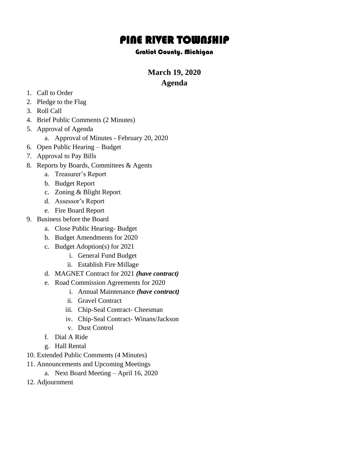# PINE RIVER TOWNSHIP

#### Gratiot County, Michigan

**March 19, 2020**

## **Agenda**

- 1. Call to Order
- 2. Pledge to the Flag
- 3. Roll Call
- 4. Brief Public Comments (2 Minutes)
- 5. Approval of Agenda
	- a. Approval of Minutes February 20, 2020
- 6. Open Public Hearing Budget
- 7. Approval to Pay Bills
- 8. Reports by Boards, Committees & Agents
	- a. Treasurer's Report
	- b. Budget Report
	- c. Zoning & Blight Report
	- d. Assessor's Report
	- e. Fire Board Report
- 9. Business before the Board
	- a. Close Public Hearing- Budget
	- b. Budget Amendments for 2020
	- c. Budget Adoption(s) for 2021
		- i. General Fund Budget
		- ii. Establish Fire Millage
	- d. MAGNET Contract for 2021 *(have contract)*
	- e. Road Commission Agreements for 2020
		- i. Annual Maintenance *(have contract)*
		- ii. Gravel Contract
		- iii. Chip-Seal Contract- Cheesman
		- iv. Chip-Seal Contract- Winans/Jackson
		- v. Dust Control
	- f. Dial A Ride
	- g. Hall Rental
- 10. Extended Public Comments (4 Minutes)
- 11. Announcements and Upcoming Meetings
	- a. Next Board Meeting April 16, 2020
- 12. Adjournment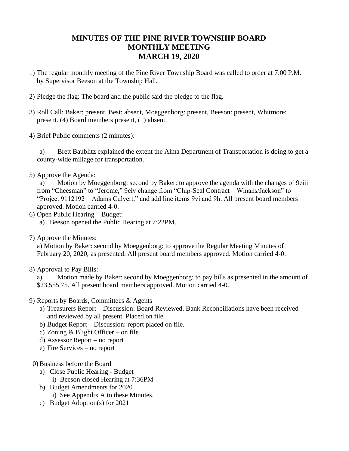# **MINUTES OF THE PINE RIVER TOWNSHIP BOARD MONTHLY MEETING MARCH 19, 2020**

- 1) The regular monthly meeting of the Pine River Township Board was called to order at 7:00 P.M. by Supervisor Beeson at the Township Hall.
- 2) Pledge the flag: The board and the public said the pledge to the flag.
- 3) Roll Call: Baker: present, Best: absent, Moeggenborg: present, Beeson: present, Whitmore: present. (4) Board members present, (1) absent.
- 4) Brief Public comments (2 minutes):

a) Brett Baublitz explained the extent the Alma Department of Transportation is doing to get a county-wide millage for transportation.

5) Approve the Agenda:

a) Motion by Moeggenborg: second by Baker: to approve the agenda with the changes of 9eiii from "Cheesman" to "Jerome," 9eiv change from "Chip-Seal Contract – Winans/Jackson" to "Project 9112192 – Adams Culvert," and add line items 9vi and 9h. All present board members approved. Motion carried 4-0.

- 6) Open Public Hearing Budget:
	- a) Beeson opened the Public Hearing at 7:22PM.
- 7) Approve the Minutes:

a) Motion by Baker: second by Moeggenborg: to approve the Regular Meeting Minutes of February 20, 2020, as presented. All present board members approved. Motion carried 4-0.

8) Approval to Pay Bills:

a) Motion made by Baker: second by Moeggenborg: to pay bills as presented in the amount of \$23,555.75. All present board members approved. Motion carried 4-0.

- 9) Reports by Boards, Committees & Agents
	- a) Treasurers Report Discussion: Board Reviewed, Bank Reconciliations have been received and reviewed by all present. Placed on file.
	- b) Budget Report Discussion: report placed on file.
	- c) Zoning & Blight Officer on file
	- d) Assessor Report no report
	- e) Fire Services no report
- 10) Business before the Board
	- a) Close Public Hearing Budget
		- i) Beeson closed Hearing at 7:36PM
	- b) Budget Amendments for 2020 i) See Appendix A to these Minutes.
	- c) Budget Adoption(s) for 2021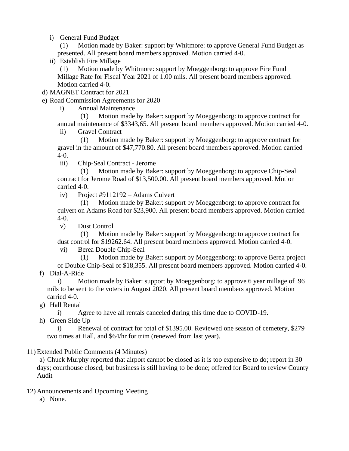i) General Fund Budget

(1) Motion made by Baker: support by Whitmore: to approve General Fund Budget as presented. All present board members approved. Motion carried 4-0.

ii) Establish Fire Millage

(1) Motion made by Whitmore: support by Moeggenborg: to approve Fire Fund Millage Rate for Fiscal Year 2021 of 1.00 mils. All present board members approved. Motion carried 4-0.

d) MAGNET Contract for 2021

e) Road Commission Agreements for 2020

i) Annual Maintenance

(1) Motion made by Baker: support by Moeggenborg: to approve contract for annual maintenance of \$3343,65. All present board members approved. Motion carried 4-0.

ii) Gravel Contract

(1) Motion made by Baker: support by Moeggenborg: to approve contract for gravel in the amount of \$47,770.80. All present board members approved. Motion carried 4-0.

iii) Chip-Seal Contract - Jerome

(1) Motion made by Baker: support by Moeggenborg: to approve Chip-Seal contract for Jerome Road of \$13,500.00. All present board members approved. Motion carried 4-0.

iv) Project #9112192 – Adams Culvert

(1) Motion made by Baker: support by Moeggenborg: to approve contract for culvert on Adams Road for \$23,900. All present board members approved. Motion carried 4-0.

v) Dust Control

(1) Motion made by Baker: support by Moeggenborg: to approve contract for dust control for \$19262.64. All present board members approved. Motion carried 4-0.

vi) Berea Double Chip-Seal

(1) Motion made by Baker: support by Moeggenborg: to approve Berea project of Double Chip-Seal of \$18,355. All present board members approved. Motion carried 4-0.

f) Dial-A-Ride

i) Motion made by Baker: support by Moeggenborg: to approve 6 year millage of .96 mils to be sent to the voters in August 2020. All present board members approved. Motion carried 4-0.

g) Hall Rental

i) Agree to have all rentals canceled during this time due to COVID-19.

h) Green Side Up

i) Renewal of contract for total of \$1395.00. Reviewed one season of cemetery, \$279 two times at Hall, and \$64/hr for trim (renewed from last year).

#### 11) Extended Public Comments (4 Minutes)

a) Chuck Murphy reported that airport cannot be closed as it is too expensive to do; report in 30 days; courthouse closed, but business is still having to be done; offered for Board to review County Audit

12) Announcements and Upcoming Meeting

a) None.